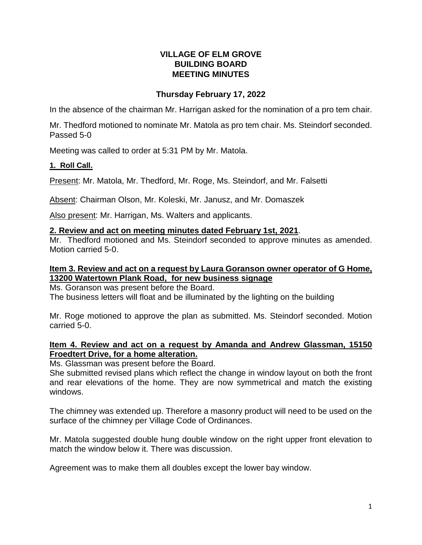### **VILLAGE OF ELM GROVE BUILDING BOARD MEETING MINUTES**

# **Thursday February 17, 2022**

In the absence of the chairman Mr. Harrigan asked for the nomination of a pro tem chair.

Mr. Thedford motioned to nominate Mr. Matola as pro tem chair. Ms. Steindorf seconded. Passed 5-0

Meeting was called to order at 5:31 PM by Mr. Matola.

#### **1. Roll Call.**

Present: Mr. Matola, Mr. Thedford, Mr. Roge, Ms. Steindorf, and Mr. Falsetti

Absent: Chairman Olson, Mr. Koleski, Mr. Janusz, and Mr. Domaszek

Also present: Mr. Harrigan, Ms. Walters and applicants.

#### **2. Review and act on meeting minutes dated February 1st, 2021**.

Mr. Thedford motioned and Ms. Steindorf seconded to approve minutes as amended. Motion carried 5-0.

#### **Item 3. Review and act on a request by Laura Goranson owner operator of G Home, 13200 Watertown Plank Road, for new business signage**

Ms. Goranson was present before the Board. The business letters will float and be illuminated by the lighting on the building

Mr. Roge motioned to approve the plan as submitted. Ms. Steindorf seconded. Motion carried 5-0.

### **Item 4. Review and act on a request by Amanda and Andrew Glassman, 15150 Froedtert Drive, for a home alteration.**

Ms. Glassman was present before the Board.

She submitted revised plans which reflect the change in window layout on both the front and rear elevations of the home. They are now symmetrical and match the existing windows.

The chimney was extended up. Therefore a masonry product will need to be used on the surface of the chimney per Village Code of Ordinances.

Mr. Matola suggested double hung double window on the right upper front elevation to match the window below it. There was discussion.

Agreement was to make them all doubles except the lower bay window.